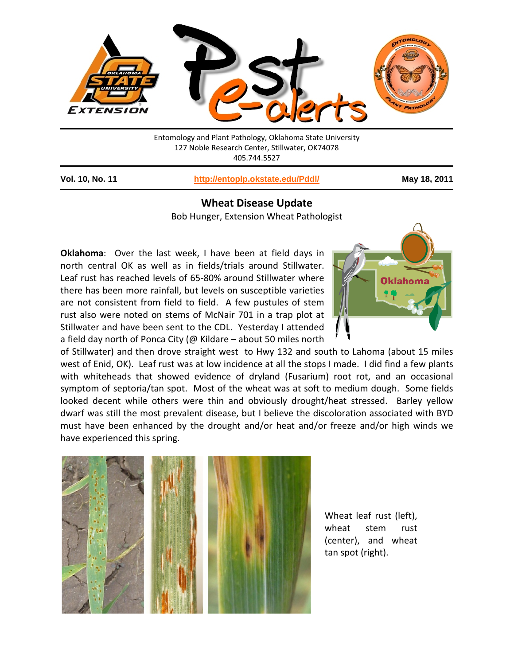

Entomology and Plant Pathology, Oklahoma State University 127 Noble Research Center, Stillwater, OK74078 405.744.5527

**Vol. 10, No. 11 <http://entoplp.okstate.edu/Pddl/> May 18, 2011**

## **Wheat Disease Update**

Bob Hunger, Extension Wheat Pathologist

**Oklahoma**: Over the last week, I have been at field days in north central OK as well as in fields/trials around Stillwater. Leaf rust has reached levels of 65-80% around Stillwater where there has been more rainfall, but levels on susceptible varieties are not consistent from field to field. A few pustules of stem rust also were noted on stems of McNair 701 in a trap plot at Stillwater and have been sent to the CDL. Yesterday I attended a field day north of Ponca City (@ Kildare – about 50 miles north



of Stillwater) and then drove straight west to Hwy 132 and south to Lahoma (about 15 miles west of Enid, OK). Leaf rust was at low incidence at all the stops I made. I did find a few plants with whiteheads that showed evidence of dryland (Fusarium) root rot, and an occasional symptom of septoria/tan spot. Most of the wheat was at soft to medium dough. Some fields looked decent while others were thin and obviously drought/heat stressed. Barley yellow dwarf was still the most prevalent disease, but I believe the discoloration associated with BYD must have been enhanced by the drought and/or heat and/or freeze and/or high winds we have experienced this spring.



Wheat leaf rust (left), wheat stem rust (center), and wheat tan spot (right).